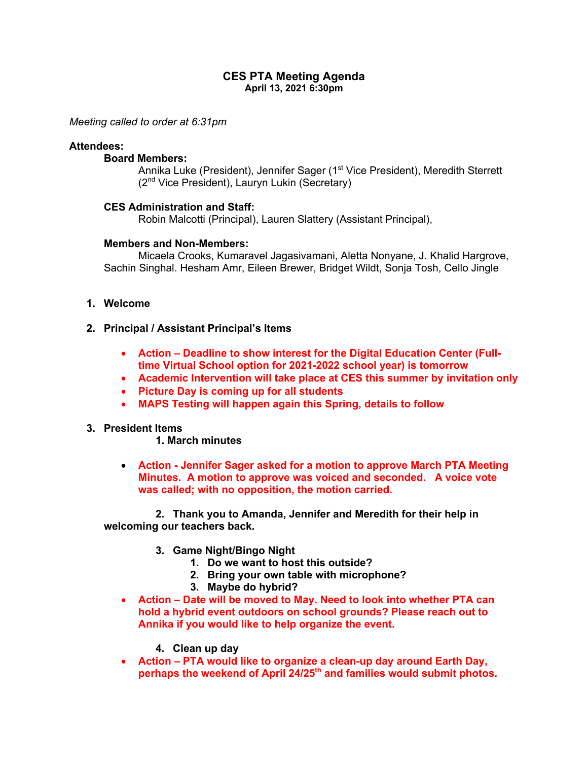### **CES PTA Meeting Agenda April 13, 2021 6:30pm**

*Meeting called to order at 6:31pm*

### **Attendees:**

### **Board Members:**

Annika Luke (President), Jennifer Sager (1<sup>st</sup> Vice President), Meredith Sterrett (2<sup>nd</sup> Vice President), Lauryn Lukin (Secretary)

# **CES Administration and Staff:**

Robin Malcotti (Principal), Lauren Slattery (Assistant Principal),

# **Members and Non-Members:**

Micaela Crooks, Kumaravel Jagasivamani, Aletta Nonyane, J. Khalid Hargrove, Sachin Singhal. Hesham Amr, Eileen Brewer, Bridget Wildt, Sonja Tosh, Cello Jingle

# **1. Welcome**

- **2. Principal / Assistant Principal's Items**
	- **Action – Deadline to show interest for the Digital Education Center (Fulltime Virtual School option for 2021-2022 school year) is tomorrow**
	- **Academic Intervention will take place at CES this summer by invitation only**
	- **Picture Day is coming up for all students**
	- **MAPS Testing will happen again this Spring, details to follow**
- **3. President Items**
	- **1. March minutes**
	- **Action - Jennifer Sager asked for a motion to approve March PTA Meeting Minutes. A motion to approve was voiced and seconded. A voice vote was called; with no opposition, the motion carried.**

**2. Thank you to Amanda, Jennifer and Meredith for their help in welcoming our teachers back.**

- **3. Game Night/Bingo Night**
	- **1. Do we want to host this outside?**
	- **2. Bring your own table with microphone?**
	- **3. Maybe do hybrid?**
- **Action – Date will be moved to May. Need to look into whether PTA can hold a hybrid event outdoors on school grounds? Please reach out to Annika if you would like to help organize the event.**

### **4. Clean up day**

• **Action – PTA would like to organize a clean-up day around Earth Day, perhaps the weekend of April 24/25th and families would submit photos.**